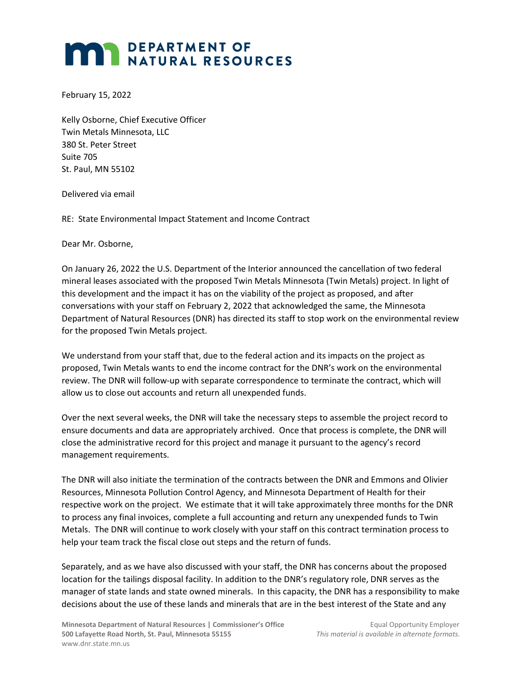## **MAR DEPARTMENT OF NATURAL RESOURCES**

February 15, 2022

Kelly Osborne, Chief Executive Officer Twin Metals Minnesota, LLC 380 St. Peter Street Suite 705 St. Paul, MN 55102

Delivered via email

RE: State Environmental Impact Statement and Income Contract

Dear Mr. Osborne,

On January 26, 2022 the U.S. Department of the Interior announced the cancellation of two federal mineral leases associated with the proposed Twin Metals Minnesota (Twin Metals) project. In light of this development and the impact it has on the viability of the project as proposed, and after conversations with your staff on February 2, 2022 that acknowledged the same, the Minnesota Department of Natural Resources (DNR) has directed its staff to stop work on the environmental review for the proposed Twin Metals project.

We understand from your staff that, due to the federal action and its impacts on the project as proposed, Twin Metals wants to end the income contract for the DNR's work on the environmental review. The DNR will follow-up with separate correspondence to terminate the contract, which will allow us to close out accounts and return all unexpended funds.

Over the next several weeks, the DNR will take the necessary steps to assemble the project record to ensure documents and data are appropriately archived. Once that process is complete, the DNR will close the administrative record for this project and manage it pursuant to the agency's record management requirements.

The DNR will also initiate the termination of the contracts between the DNR and Emmons and Olivier Resources, Minnesota Pollution Control Agency, and Minnesota Department of Health for their respective work on the project. We estimate that it will take approximately three months for the DNR to process any final invoices, complete a full accounting and return any unexpended funds to Twin Metals. The DNR will continue to work closely with your staff on this contract termination process to help your team track the fiscal close out steps and the return of funds.

Separately, and as we have also discussed with your staff, the DNR has concerns about the proposed location for the tailings disposal facility. In addition to the DNR's regulatory role, DNR serves as the manager of state lands and state owned minerals. In this capacity, the DNR has a responsibility to make decisions about the use of these lands and minerals that are in the best interest of the State and any